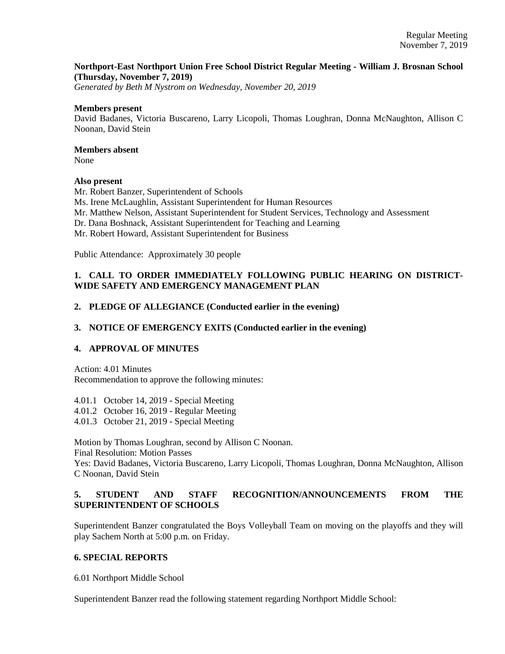## **Northport-East Northport Union Free School District Regular Meeting - William J. Brosnan School (Thursday, November 7, 2019)**

*Generated by Beth M Nystrom on Wednesday, November 20, 2019*

### **Members present**

David Badanes, Victoria Buscareno, Larry Licopoli, Thomas Loughran, Donna McNaughton, Allison C Noonan, David Stein

## **Members absent**

None

## **Also present**

Mr. Robert Banzer, Superintendent of Schools Ms. Irene McLaughlin, Assistant Superintendent for Human Resources Mr. Matthew Nelson, Assistant Superintendent for Student Services, Technology and Assessment Dr. Dana Boshnack, Assistant Superintendent for Teaching and Learning Mr. Robert Howard, Assistant Superintendent for Business

Public Attendance: Approximately 30 people

# **1. CALL TO ORDER IMMEDIATELY FOLLOWING PUBLIC HEARING ON DISTRICT-WIDE SAFETY AND EMERGENCY MANAGEMENT PLAN**

## **2. PLEDGE OF ALLEGIANCE (Conducted earlier in the evening)**

## **3. NOTICE OF EMERGENCY EXITS (Conducted earlier in the evening)**

## **4. APPROVAL OF MINUTES**

Action: 4.01 Minutes Recommendation to approve the following minutes:

- 4.01.1 October 14, 2019 Special Meeting
- 4.01.2 October 16, 2019 Regular Meeting
- 4.01.3 October 21, 2019 Special Meeting

Motion by Thomas Loughran, second by Allison C Noonan.

Final Resolution: Motion Passes

Yes: David Badanes, Victoria Buscareno, Larry Licopoli, Thomas Loughran, Donna McNaughton, Allison C Noonan, David Stein

# **5. STUDENT AND STAFF RECOGNITION/ANNOUNCEMENTS FROM THE SUPERINTENDENT OF SCHOOLS**

Superintendent Banzer congratulated the Boys Volleyball Team on moving on the playoffs and they will play Sachem North at 5:00 p.m. on Friday.

## **6. SPECIAL REPORTS**

6.01 Northport Middle School

Superintendent Banzer read the following statement regarding Northport Middle School: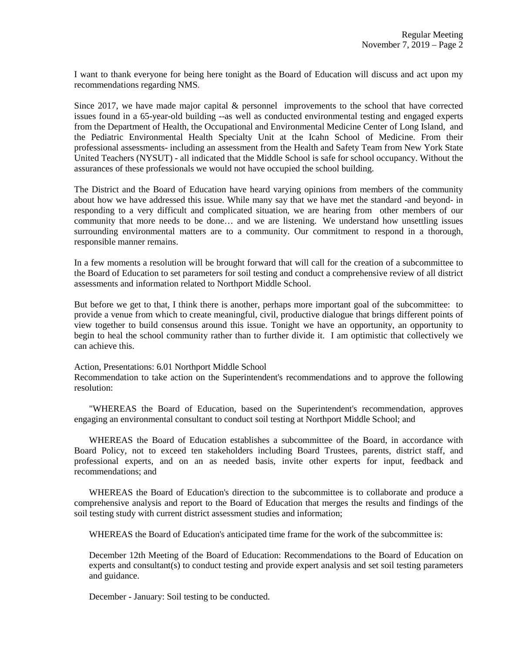I want to thank everyone for being here tonight as the Board of Education will discuss and act upon my recommendations regarding NMS*.* 

Since 2017, we have made major capital & personnel improvements to the school that have corrected issues found in a 65-year-old building --as well as conducted environmental testing and engaged experts from the Department of Health, the Occupational and Environmental Medicine Center of Long Island, and the Pediatric Environmental Health Specialty Unit at the Icahn School of Medicine. From their professional assessments- including an assessment from the Health and Safety Team from New York State United Teachers (NYSUT) - all indicated that the Middle School is safe for school occupancy. Without the assurances of these professionals we would not have occupied the school building.

The District and the Board of Education have heard varying opinions from members of the community about how we have addressed this issue. While many say that we have met the standard -and beyond- in responding to a very difficult and complicated situation, we are hearing from other members of our community that more needs to be done… and we are listening. We understand how unsettling issues surrounding environmental matters are to a community. Our commitment to respond in a thorough, responsible manner remains.

In a few moments a resolution will be brought forward that will call for the creation of a subcommittee to the Board of Education to set parameters for soil testing and conduct a comprehensive review of all district assessments and information related to Northport Middle School.

But before we get to that, I think there is another, perhaps more important goal of the subcommittee: to provide a venue from which to create meaningful, civil, productive dialogue that brings different points of view together to build consensus around this issue. Tonight we have an opportunity, an opportunity to begin to heal the school community rather than to further divide it. I am optimistic that collectively we can achieve this.

Action, Presentations: 6.01 Northport Middle School

Recommendation to take action on the Superintendent's recommendations and to approve the following resolution:

"WHEREAS the Board of Education, based on the Superintendent's recommendation, approves engaging an environmental consultant to conduct soil testing at Northport Middle School; and

 WHEREAS the Board of Education establishes a subcommittee of the Board, in accordance with Board Policy, not to exceed ten stakeholders including Board Trustees, parents, district staff, and professional experts, and on an as needed basis, invite other experts for input, feedback and recommendations; and

 WHEREAS the Board of Education's direction to the subcommittee is to collaborate and produce a comprehensive analysis and report to the Board of Education that merges the results and findings of the soil testing study with current district assessment studies and information;

WHEREAS the Board of Education's anticipated time frame for the work of the subcommittee is:

December 12th Meeting of the Board of Education: Recommendations to the Board of Education on experts and consultant(s) to conduct testing and provide expert analysis and set soil testing parameters and guidance.

December - January: Soil testing to be conducted.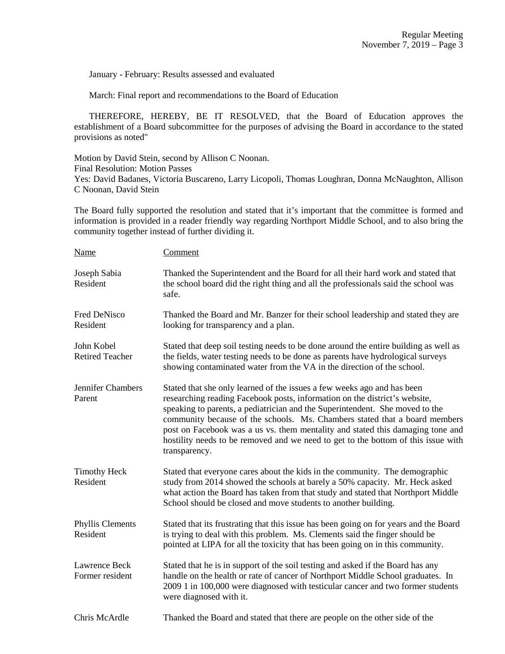January - February: Results assessed and evaluated

March: Final report and recommendations to the Board of Education

 THEREFORE, HEREBY, BE IT RESOLVED, that the Board of Education approves the establishment of a Board subcommittee for the purposes of advising the Board in accordance to the stated provisions as noted"

Motion by David Stein, second by Allison C Noonan. Final Resolution: Motion Passes Yes: David Badanes, Victoria Buscareno, Larry Licopoli, Thomas Loughran, Donna McNaughton, Allison C Noonan, David Stein

The Board fully supported the resolution and stated that it's important that the committee is formed and information is provided in a reader friendly way regarding Northport Middle School, and to also bring the community together instead of further dividing it.

| Name                                 | Comment                                                                                                                                                                                                                                                                                                                                                                                                                                                                                                     |
|--------------------------------------|-------------------------------------------------------------------------------------------------------------------------------------------------------------------------------------------------------------------------------------------------------------------------------------------------------------------------------------------------------------------------------------------------------------------------------------------------------------------------------------------------------------|
| Joseph Sabia<br>Resident             | Thanked the Superintendent and the Board for all their hard work and stated that<br>the school board did the right thing and all the professionals said the school was<br>safe.                                                                                                                                                                                                                                                                                                                             |
| Fred DeNisco<br>Resident             | Thanked the Board and Mr. Banzer for their school leadership and stated they are<br>looking for transparency and a plan.                                                                                                                                                                                                                                                                                                                                                                                    |
| John Kobel<br><b>Retired Teacher</b> | Stated that deep soil testing needs to be done around the entire building as well as<br>the fields, water testing needs to be done as parents have hydrological surveys<br>showing contaminated water from the VA in the direction of the school.                                                                                                                                                                                                                                                           |
| Jennifer Chambers<br>Parent          | Stated that she only learned of the issues a few weeks ago and has been<br>researching reading Facebook posts, information on the district's website,<br>speaking to parents, a pediatrician and the Superintendent. She moved to the<br>community because of the schools. Ms. Chambers stated that a board members<br>post on Facebook was a us vs. them mentality and stated this damaging tone and<br>hostility needs to be removed and we need to get to the bottom of this issue with<br>transparency. |
| <b>Timothy Heck</b><br>Resident      | Stated that everyone cares about the kids in the community. The demographic<br>study from 2014 showed the schools at barely a 50% capacity. Mr. Heck asked<br>what action the Board has taken from that study and stated that Northport Middle<br>School should be closed and move students to another building.                                                                                                                                                                                            |
| Phyllis Clements<br>Resident         | Stated that its frustrating that this issue has been going on for years and the Board<br>is trying to deal with this problem. Ms. Clements said the finger should be<br>pointed at LIPA for all the toxicity that has been going on in this community.                                                                                                                                                                                                                                                      |
| Lawrence Beck<br>Former resident     | Stated that he is in support of the soil testing and asked if the Board has any<br>handle on the health or rate of cancer of Northport Middle School graduates. In<br>2009 1 in 100,000 were diagnosed with testicular cancer and two former students<br>were diagnosed with it.                                                                                                                                                                                                                            |
| Chris McArdle                        | Thanked the Board and stated that there are people on the other side of the                                                                                                                                                                                                                                                                                                                                                                                                                                 |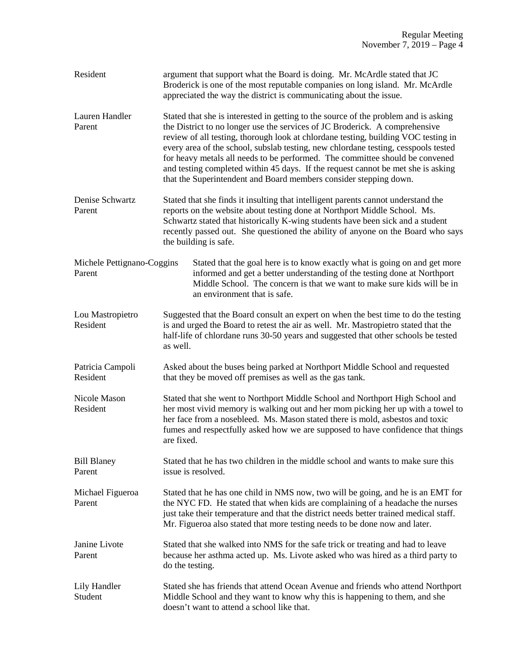| Resident                             | argument that support what the Board is doing. Mr. McArdle stated that JC<br>Broderick is one of the most reputable companies on long island. Mr. McArdle<br>appreciated the way the district is communicating about the issue.                                                                                                                                                                                                                                                                                                                                                         |
|--------------------------------------|-----------------------------------------------------------------------------------------------------------------------------------------------------------------------------------------------------------------------------------------------------------------------------------------------------------------------------------------------------------------------------------------------------------------------------------------------------------------------------------------------------------------------------------------------------------------------------------------|
| Lauren Handler<br>Parent             | Stated that she is interested in getting to the source of the problem and is asking<br>the District to no longer use the services of JC Broderick. A comprehensive<br>review of all testing, thorough look at chlordane testing, building VOC testing in<br>every area of the school, subslab testing, new chlordane testing, cesspools tested<br>for heavy metals all needs to be performed. The committee should be convened<br>and testing completed within 45 days. If the request cannot be met she is asking<br>that the Superintendent and Board members consider stepping down. |
| Denise Schwartz                      | Stated that she finds it insulting that intelligent parents cannot understand the                                                                                                                                                                                                                                                                                                                                                                                                                                                                                                       |
| Parent                               | reports on the website about testing done at Northport Middle School. Ms.<br>Schwartz stated that historically K-wing students have been sick and a student<br>recently passed out. She questioned the ability of anyone on the Board who says<br>the building is safe.                                                                                                                                                                                                                                                                                                                 |
| Michele Pettignano-Coggins<br>Parent | Stated that the goal here is to know exactly what is going on and get more<br>informed and get a better understanding of the testing done at Northport<br>Middle School. The concern is that we want to make sure kids will be in<br>an environment that is safe.                                                                                                                                                                                                                                                                                                                       |
| Lou Mastropietro<br>Resident         | Suggested that the Board consult an expert on when the best time to do the testing<br>is and urged the Board to retest the air as well. Mr. Mastropietro stated that the<br>half-life of chlordane runs 30-50 years and suggested that other schools be tested<br>as well.                                                                                                                                                                                                                                                                                                              |
| Patricia Campoli<br>Resident         | Asked about the buses being parked at Northport Middle School and requested<br>that they be moved off premises as well as the gas tank.                                                                                                                                                                                                                                                                                                                                                                                                                                                 |
| Nicole Mason<br>Resident             | Stated that she went to Northport Middle School and Northport High School and<br>her most vivid memory is walking out and her mom picking her up with a towel to<br>her face from a nosebleed. Ms. Mason stated there is mold, asbestos and toxic<br>fumes and respectfully asked how we are supposed to have confidence that things<br>are fixed.                                                                                                                                                                                                                                      |
| <b>Bill Blaney</b><br>Parent         | Stated that he has two children in the middle school and wants to make sure this<br>issue is resolved.                                                                                                                                                                                                                                                                                                                                                                                                                                                                                  |
| Michael Figueroa<br>Parent           | Stated that he has one child in NMS now, two will be going, and he is an EMT for<br>the NYC FD. He stated that when kids are complaining of a headache the nurses<br>just take their temperature and that the district needs better trained medical staff.<br>Mr. Figueroa also stated that more testing needs to be done now and later.                                                                                                                                                                                                                                                |
| Janine Livote<br>Parent              | Stated that she walked into NMS for the safe trick or treating and had to leave<br>because her asthma acted up. Ms. Livote asked who was hired as a third party to<br>do the testing.                                                                                                                                                                                                                                                                                                                                                                                                   |
| Lily Handler<br>Student              | Stated she has friends that attend Ocean Avenue and friends who attend Northport<br>Middle School and they want to know why this is happening to them, and she<br>doesn't want to attend a school like that.                                                                                                                                                                                                                                                                                                                                                                            |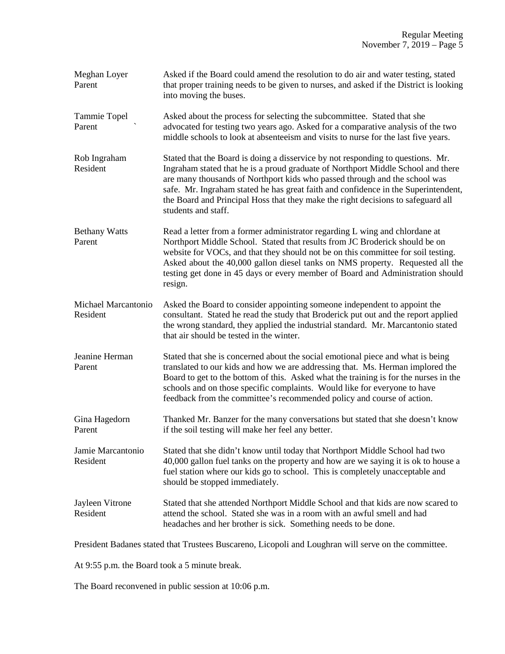| Meghan Loyer<br>Parent          | Asked if the Board could amend the resolution to do air and water testing, stated<br>that proper training needs to be given to nurses, and asked if the District is looking<br>into moving the buses.                                                                                                                                                                                                                                              |
|---------------------------------|----------------------------------------------------------------------------------------------------------------------------------------------------------------------------------------------------------------------------------------------------------------------------------------------------------------------------------------------------------------------------------------------------------------------------------------------------|
| Tammie Topel<br>Parent          | Asked about the process for selecting the subcommittee. Stated that she<br>advocated for testing two years ago. Asked for a comparative analysis of the two<br>middle schools to look at absenteeism and visits to nurse for the last five years.                                                                                                                                                                                                  |
| Rob Ingraham<br>Resident        | Stated that the Board is doing a disservice by not responding to questions. Mr.<br>Ingraham stated that he is a proud graduate of Northport Middle School and there<br>are many thousands of Northport kids who passed through and the school was<br>safe. Mr. Ingraham stated he has great faith and confidence in the Superintendent,<br>the Board and Principal Hoss that they make the right decisions to safeguard all<br>students and staff. |
| <b>Bethany Watts</b><br>Parent  | Read a letter from a former administrator regarding L wing and chlordane at<br>Northport Middle School. Stated that results from JC Broderick should be on<br>website for VOCs, and that they should not be on this committee for soil testing.<br>Asked about the 40,000 gallon diesel tanks on NMS property. Requested all the<br>testing get done in 45 days or every member of Board and Administration should<br>resign.                      |
| Michael Marcantonio<br>Resident | Asked the Board to consider appointing someone independent to appoint the<br>consultant. Stated he read the study that Broderick put out and the report applied<br>the wrong standard, they applied the industrial standard. Mr. Marcantonio stated<br>that air should be tested in the winter.                                                                                                                                                    |
| Jeanine Herman<br>Parent        | Stated that she is concerned about the social emotional piece and what is being<br>translated to our kids and how we are addressing that. Ms. Herman implored the<br>Board to get to the bottom of this. Asked what the training is for the nurses in the<br>schools and on those specific complaints. Would like for everyone to have<br>feedback from the committee's recommended policy and course of action.                                   |
| Gina Hagedorn<br>Parent         | Thanked Mr. Banzer for the many conversations but stated that she doesn't know<br>if the soil testing will make her feel any better.                                                                                                                                                                                                                                                                                                               |
| Jamie Marcantonio<br>Resident   | Stated that she didn't know until today that Northport Middle School had two<br>40,000 gallon fuel tanks on the property and how are we saying it is ok to house a<br>fuel station where our kids go to school. This is completely unacceptable and<br>should be stopped immediately.                                                                                                                                                              |
| Jayleen Vitrone<br>Resident     | Stated that she attended Northport Middle School and that kids are now scared to<br>attend the school. Stated she was in a room with an awful smell and had<br>headaches and her brother is sick. Something needs to be done.                                                                                                                                                                                                                      |

President Badanes stated that Trustees Buscareno, Licopoli and Loughran will serve on the committee.

At 9:55 p.m. the Board took a 5 minute break.

The Board reconvened in public session at 10:06 p.m.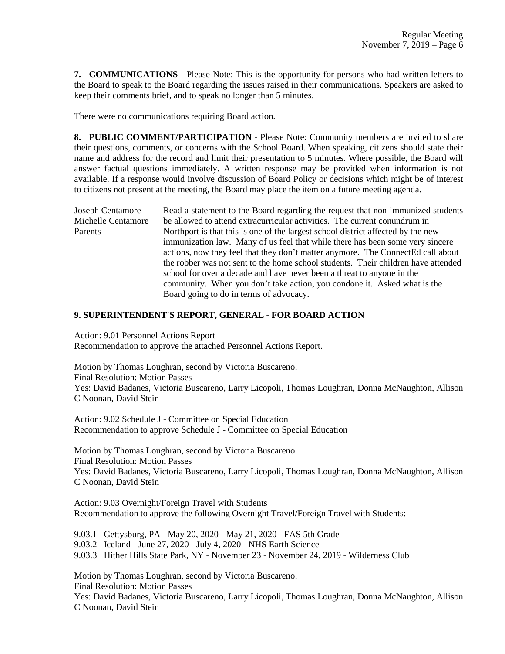**7. COMMUNICATIONS** - Please Note: This is the opportunity for persons who had written letters to the Board to speak to the Board regarding the issues raised in their communications. Speakers are asked to keep their comments brief, and to speak no longer than 5 minutes.

There were no communications requiring Board action.

**8. PUBLIC COMMENT/PARTICIPATION** - Please Note: Community members are invited to share their questions, comments, or concerns with the School Board. When speaking, citizens should state their name and address for the record and limit their presentation to 5 minutes. Where possible, the Board will answer factual questions immediately. A written response may be provided when information is not available. If a response would involve discussion of Board Policy or decisions which might be of interest to citizens not present at the meeting, the Board may place the item on a future meeting agenda.

Joseph Centamore Read a statement to the Board regarding the request that non-immunized students Michelle Centamore be allowed to attend extracurricular activities. The current conundrum in Parents Northport is that this is one of the largest school district affected by the new immunization law. Many of us feel that while there has been some very sincere actions, now they feel that they don't matter anymore. The ConnectEd call about the robber was not sent to the home school students. Their children have attended school for over a decade and have never been a threat to anyone in the community. When you don't take action, you condone it. Asked what is the Board going to do in terms of advocacy.

## **9. SUPERINTENDENT'S REPORT, GENERAL - FOR BOARD ACTION**

Action: 9.01 Personnel Actions Report Recommendation to approve the attached Personnel Actions Report.

Motion by Thomas Loughran, second by Victoria Buscareno. Final Resolution: Motion Passes Yes: David Badanes, Victoria Buscareno, Larry Licopoli, Thomas Loughran, Donna McNaughton, Allison C Noonan, David Stein

Action: 9.02 Schedule J - Committee on Special Education Recommendation to approve Schedule J - Committee on Special Education

Motion by Thomas Loughran, second by Victoria Buscareno. Final Resolution: Motion Passes Yes: David Badanes, Victoria Buscareno, Larry Licopoli, Thomas Loughran, Donna McNaughton, Allison C Noonan, David Stein

Action: 9.03 Overnight/Foreign Travel with Students Recommendation to approve the following Overnight Travel/Foreign Travel with Students:

9.03.1 Gettysburg, PA - May 20, 2020 - May 21, 2020 - FAS 5th Grade

9.03.2 Iceland - June 27, 2020 - July 4, 2020 - NHS Earth Science

9.03.3 Hither Hills State Park, NY - November 23 - November 24, 2019 - Wilderness Club

Motion by Thomas Loughran, second by Victoria Buscareno.

Final Resolution: Motion Passes

Yes: David Badanes, Victoria Buscareno, Larry Licopoli, Thomas Loughran, Donna McNaughton, Allison C Noonan, David Stein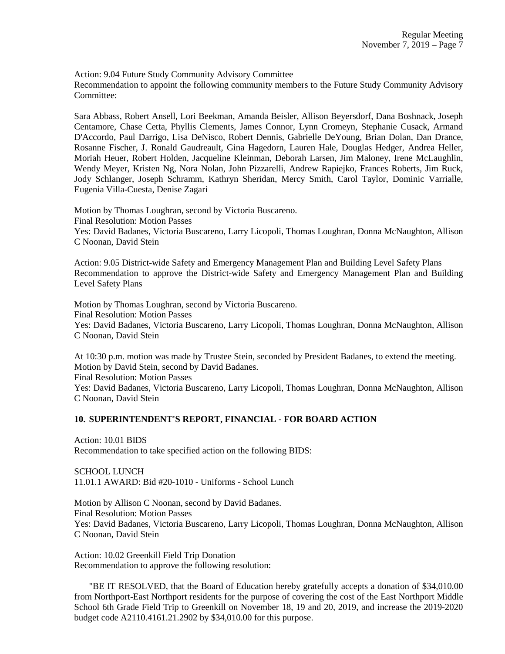Action: 9.04 Future Study Community Advisory Committee Recommendation to appoint the following community members to the Future Study Community Advisory Committee:

Sara Abbass, Robert Ansell, Lori Beekman, Amanda Beisler, Allison Beyersdorf, Dana Boshnack, Joseph Centamore, Chase Cetta, Phyllis Clements, James Connor, Lynn Cromeyn, Stephanie Cusack, Armand D'Accordo, Paul Darrigo, Lisa DeNisco, Robert Dennis, Gabrielle DeYoung, Brian Dolan, Dan Drance, Rosanne Fischer, J. Ronald Gaudreault, Gina Hagedorn, Lauren Hale, Douglas Hedger, Andrea Heller, Moriah Heuer, Robert Holden, Jacqueline Kleinman, Deborah Larsen, Jim Maloney, Irene McLaughlin, Wendy Meyer, Kristen Ng, Nora Nolan, John Pizzarelli, Andrew Rapiejko, Frances Roberts, Jim Ruck, Jody Schlanger, Joseph Schramm, Kathryn Sheridan, Mercy Smith, Carol Taylor, Dominic Varrialle, Eugenia Villa-Cuesta, Denise Zagari

Motion by Thomas Loughran, second by Victoria Buscareno. Final Resolution: Motion Passes Yes: David Badanes, Victoria Buscareno, Larry Licopoli, Thomas Loughran, Donna McNaughton, Allison C Noonan, David Stein

Action: 9.05 District-wide Safety and Emergency Management Plan and Building Level Safety Plans Recommendation to approve the District-wide Safety and Emergency Management Plan and Building Level Safety Plans

Motion by Thomas Loughran, second by Victoria Buscareno. Final Resolution: Motion Passes Yes: David Badanes, Victoria Buscareno, Larry Licopoli, Thomas Loughran, Donna McNaughton, Allison C Noonan, David Stein

At 10:30 p.m. motion was made by Trustee Stein, seconded by President Badanes, to extend the meeting. Motion by David Stein, second by David Badanes. Final Resolution: Motion Passes Yes: David Badanes, Victoria Buscareno, Larry Licopoli, Thomas Loughran, Donna McNaughton, Allison C Noonan, David Stein

## **10. SUPERINTENDENT'S REPORT, FINANCIAL - FOR BOARD ACTION**

Action: 10.01 BIDS Recommendation to take specified action on the following BIDS:

SCHOOL LUNCH 11.01.1 AWARD: Bid #20-1010 - Uniforms - School Lunch

Motion by Allison C Noonan, second by David Badanes. Final Resolution: Motion Passes Yes: David Badanes, Victoria Buscareno, Larry Licopoli, Thomas Loughran, Donna McNaughton, Allison C Noonan, David Stein

Action: 10.02 Greenkill Field Trip Donation Recommendation to approve the following resolution:

 "BE IT RESOLVED, that the Board of Education hereby gratefully accepts a donation of \$34,010.00 from Northport-East Northport residents for the purpose of covering the cost of the East Northport Middle School 6th Grade Field Trip to Greenkill on November 18, 19 and 20, 2019, and increase the 2019-2020 budget code A2110.4161.21.2902 by \$34,010.00 for this purpose.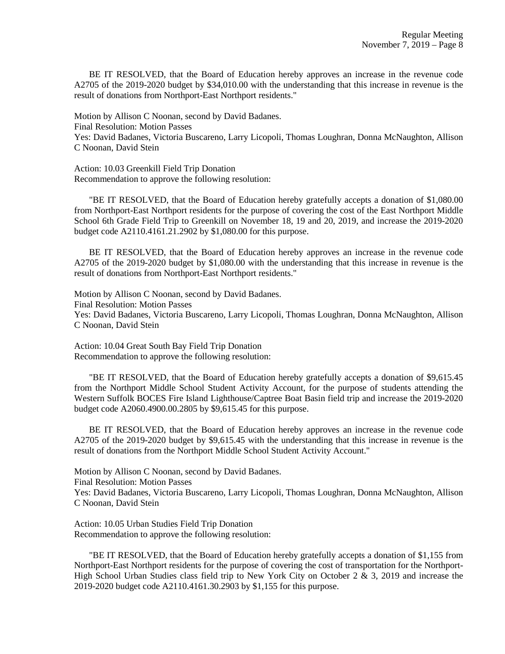BE IT RESOLVED, that the Board of Education hereby approves an increase in the revenue code A2705 of the 2019-2020 budget by \$34,010.00 with the understanding that this increase in revenue is the result of donations from Northport-East Northport residents."

Motion by Allison C Noonan, second by David Badanes. Final Resolution: Motion Passes Yes: David Badanes, Victoria Buscareno, Larry Licopoli, Thomas Loughran, Donna McNaughton, Allison C Noonan, David Stein

Action: 10.03 Greenkill Field Trip Donation Recommendation to approve the following resolution:

 "BE IT RESOLVED, that the Board of Education hereby gratefully accepts a donation of \$1,080.00 from Northport-East Northport residents for the purpose of covering the cost of the East Northport Middle School 6th Grade Field Trip to Greenkill on November 18, 19 and 20, 2019, and increase the 2019-2020 budget code A2110.4161.21.2902 by \$1,080.00 for this purpose.

 BE IT RESOLVED, that the Board of Education hereby approves an increase in the revenue code A2705 of the 2019-2020 budget by \$1,080.00 with the understanding that this increase in revenue is the result of donations from Northport-East Northport residents."

Motion by Allison C Noonan, second by David Badanes. Final Resolution: Motion Passes Yes: David Badanes, Victoria Buscareno, Larry Licopoli, Thomas Loughran, Donna McNaughton, Allison C Noonan, David Stein

Action: 10.04 Great South Bay Field Trip Donation Recommendation to approve the following resolution:

 "BE IT RESOLVED, that the Board of Education hereby gratefully accepts a donation of \$9,615.45 from the Northport Middle School Student Activity Account, for the purpose of students attending the Western Suffolk BOCES Fire Island Lighthouse/Captree Boat Basin field trip and increase the 2019-2020 budget code A2060.4900.00.2805 by \$9,615.45 for this purpose.

 BE IT RESOLVED, that the Board of Education hereby approves an increase in the revenue code A2705 of the 2019-2020 budget by \$9,615.45 with the understanding that this increase in revenue is the result of donations from the Northport Middle School Student Activity Account."

Motion by Allison C Noonan, second by David Badanes.

Final Resolution: Motion Passes

Yes: David Badanes, Victoria Buscareno, Larry Licopoli, Thomas Loughran, Donna McNaughton, Allison C Noonan, David Stein

Action: 10.05 Urban Studies Field Trip Donation Recommendation to approve the following resolution:

 "BE IT RESOLVED, that the Board of Education hereby gratefully accepts a donation of \$1,155 from Northport-East Northport residents for the purpose of covering the cost of transportation for the Northport-High School Urban Studies class field trip to New York City on October 2 & 3, 2019 and increase the 2019-2020 budget code A2110.4161.30.2903 by \$1,155 for this purpose.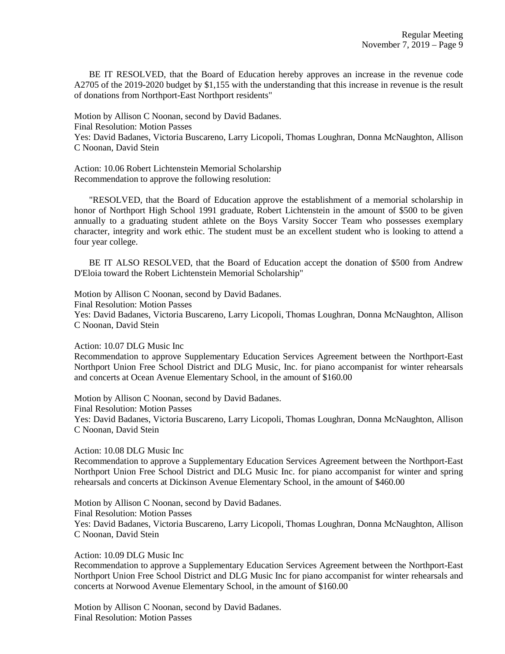BE IT RESOLVED, that the Board of Education hereby approves an increase in the revenue code A2705 of the 2019-2020 budget by \$1,155 with the understanding that this increase in revenue is the result of donations from Northport-East Northport residents"

Motion by Allison C Noonan, second by David Badanes. Final Resolution: Motion Passes Yes: David Badanes, Victoria Buscareno, Larry Licopoli, Thomas Loughran, Donna McNaughton, Allison C Noonan, David Stein

Action: 10.06 Robert Lichtenstein Memorial Scholarship Recommendation to approve the following resolution:

 "RESOLVED, that the Board of Education approve the establishment of a memorial scholarship in honor of Northport High School 1991 graduate, Robert Lichtenstein in the amount of \$500 to be given annually to a graduating student athlete on the Boys Varsity Soccer Team who possesses exemplary character, integrity and work ethic. The student must be an excellent student who is looking to attend a four year college.

 BE IT ALSO RESOLVED, that the Board of Education accept the donation of \$500 from Andrew D'Eloia toward the Robert Lichtenstein Memorial Scholarship"

Motion by Allison C Noonan, second by David Badanes.

Final Resolution: Motion Passes

Yes: David Badanes, Victoria Buscareno, Larry Licopoli, Thomas Loughran, Donna McNaughton, Allison C Noonan, David Stein

Action: 10.07 DLG Music Inc

Recommendation to approve Supplementary Education Services Agreement between the Northport-East Northport Union Free School District and DLG Music, Inc. for piano accompanist for winter rehearsals and concerts at Ocean Avenue Elementary School, in the amount of \$160.00

Motion by Allison C Noonan, second by David Badanes.

Final Resolution: Motion Passes

Yes: David Badanes, Victoria Buscareno, Larry Licopoli, Thomas Loughran, Donna McNaughton, Allison C Noonan, David Stein

Action: 10.08 DLG Music Inc

Recommendation to approve a Supplementary Education Services Agreement between the Northport-East Northport Union Free School District and DLG Music Inc. for piano accompanist for winter and spring rehearsals and concerts at Dickinson Avenue Elementary School, in the amount of \$460.00

Motion by Allison C Noonan, second by David Badanes. Final Resolution: Motion Passes Yes: David Badanes, Victoria Buscareno, Larry Licopoli, Thomas Loughran, Donna McNaughton, Allison C Noonan, David Stein

Action: 10.09 DLG Music Inc

Recommendation to approve a Supplementary Education Services Agreement between the Northport-East Northport Union Free School District and DLG Music Inc for piano accompanist for winter rehearsals and concerts at Norwood Avenue Elementary School, in the amount of \$160.00

Motion by Allison C Noonan, second by David Badanes. Final Resolution: Motion Passes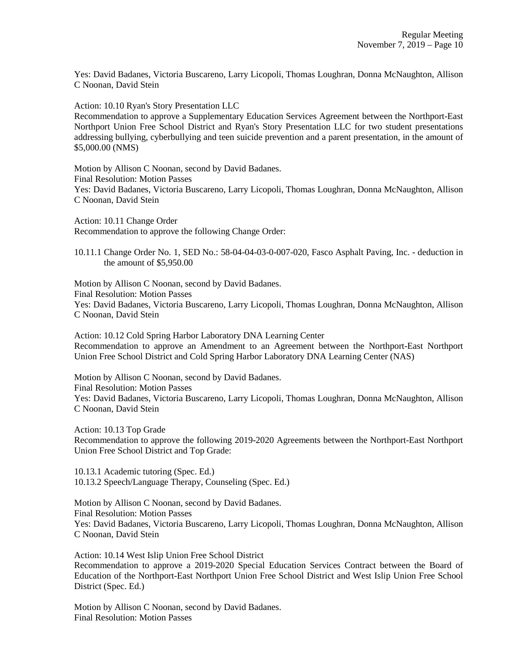Yes: David Badanes, Victoria Buscareno, Larry Licopoli, Thomas Loughran, Donna McNaughton, Allison C Noonan, David Stein

Action: 10.10 Ryan's Story Presentation LLC

Recommendation to approve a Supplementary Education Services Agreement between the Northport-East Northport Union Free School District and Ryan's Story Presentation LLC for two student presentations addressing bullying, cyberbullying and teen suicide prevention and a parent presentation, in the amount of \$5,000.00 (NMS)

Motion by Allison C Noonan, second by David Badanes. Final Resolution: Motion Passes Yes: David Badanes, Victoria Buscareno, Larry Licopoli, Thomas Loughran, Donna McNaughton, Allison C Noonan, David Stein

Action: 10.11 Change Order Recommendation to approve the following Change Order:

10.11.1 Change Order No. 1, SED No.: 58-04-04-03-0-007-020, Fasco Asphalt Paving, Inc. - deduction in the amount of \$5,950.00

Motion by Allison C Noonan, second by David Badanes. Final Resolution: Motion Passes Yes: David Badanes, Victoria Buscareno, Larry Licopoli, Thomas Loughran, Donna McNaughton, Allison C Noonan, David Stein

Action: 10.12 Cold Spring Harbor Laboratory DNA Learning Center Recommendation to approve an Amendment to an Agreement between the Northport-East Northport Union Free School District and Cold Spring Harbor Laboratory DNA Learning Center (NAS)

Motion by Allison C Noonan, second by David Badanes. Final Resolution: Motion Passes Yes: David Badanes, Victoria Buscareno, Larry Licopoli, Thomas Loughran, Donna McNaughton, Allison C Noonan, David Stein

Action: 10.13 Top Grade Recommendation to approve the following 2019-2020 Agreements between the Northport-East Northport Union Free School District and Top Grade:

10.13.1 Academic tutoring (Spec. Ed.) 10.13.2 Speech/Language Therapy, Counseling (Spec. Ed.)

Motion by Allison C Noonan, second by David Badanes. Final Resolution: Motion Passes Yes: David Badanes, Victoria Buscareno, Larry Licopoli, Thomas Loughran, Donna McNaughton, Allison C Noonan, David Stein

Action: 10.14 West Islip Union Free School District Recommendation to approve a 2019-2020 Special Education Services Contract between the Board of Education of the Northport-East Northport Union Free School District and West Islip Union Free School District (Spec. Ed.)

Motion by Allison C Noonan, second by David Badanes. Final Resolution: Motion Passes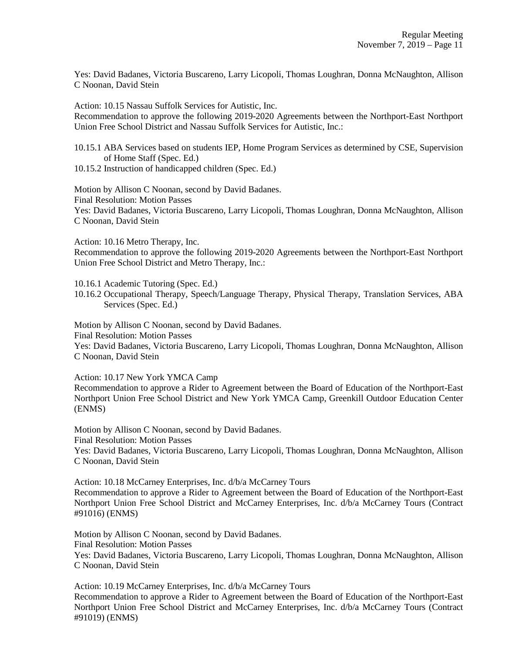Yes: David Badanes, Victoria Buscareno, Larry Licopoli, Thomas Loughran, Donna McNaughton, Allison C Noonan, David Stein

Action: 10.15 Nassau Suffolk Services for Autistic, Inc.

Recommendation to approve the following 2019-2020 Agreements between the Northport-East Northport Union Free School District and Nassau Suffolk Services for Autistic, Inc.:

10.15.1 ABA Services based on students IEP, Home Program Services as determined by CSE, Supervision of Home Staff (Spec. Ed.)

10.15.2 Instruction of handicapped children (Spec. Ed.)

Motion by Allison C Noonan, second by David Badanes. Final Resolution: Motion Passes Yes: David Badanes, Victoria Buscareno, Larry Licopoli, Thomas Loughran, Donna McNaughton, Allison C Noonan, David Stein

Action: 10.16 Metro Therapy, Inc. Recommendation to approve the following 2019-2020 Agreements between the Northport-East Northport Union Free School District and Metro Therapy, Inc.:

10.16.1 Academic Tutoring (Spec. Ed.)

10.16.2 Occupational Therapy, Speech/Language Therapy, Physical Therapy, Translation Services, ABA Services (Spec. Ed.)

Motion by Allison C Noonan, second by David Badanes. Final Resolution: Motion Passes Yes: David Badanes, Victoria Buscareno, Larry Licopoli, Thomas Loughran, Donna McNaughton, Allison C Noonan, David Stein

Action: 10.17 New York YMCA Camp

Recommendation to approve a Rider to Agreement between the Board of Education of the Northport-East Northport Union Free School District and New York YMCA Camp, Greenkill Outdoor Education Center (ENMS)

Motion by Allison C Noonan, second by David Badanes. Final Resolution: Motion Passes Yes: David Badanes, Victoria Buscareno, Larry Licopoli, Thomas Loughran, Donna McNaughton, Allison

C Noonan, David Stein

Action: 10.18 McCarney Enterprises, Inc. d/b/a McCarney Tours Recommendation to approve a Rider to Agreement between the Board of Education of the Northport-East Northport Union Free School District and McCarney Enterprises, Inc. d/b/a McCarney Tours (Contract #91016) (ENMS)

Motion by Allison C Noonan, second by David Badanes. Final Resolution: Motion Passes Yes: David Badanes, Victoria Buscareno, Larry Licopoli, Thomas Loughran, Donna McNaughton, Allison C Noonan, David Stein

Action: 10.19 McCarney Enterprises, Inc. d/b/a McCarney Tours Recommendation to approve a Rider to Agreement between the Board of Education of the Northport-East Northport Union Free School District and McCarney Enterprises, Inc. d/b/a McCarney Tours (Contract #91019) (ENMS)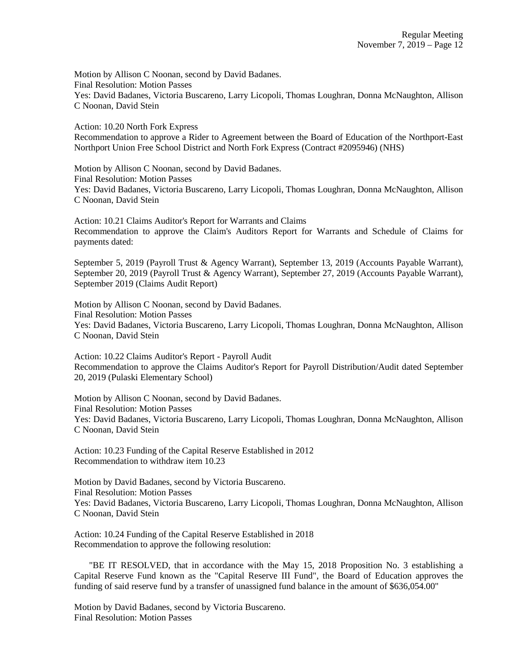Motion by Allison C Noonan, second by David Badanes. Final Resolution: Motion Passes Yes: David Badanes, Victoria Buscareno, Larry Licopoli, Thomas Loughran, Donna McNaughton, Allison C Noonan, David Stein

Action: 10.20 North Fork Express Recommendation to approve a Rider to Agreement between the Board of Education of the Northport-East Northport Union Free School District and North Fork Express (Contract #2095946) (NHS)

Motion by Allison C Noonan, second by David Badanes. Final Resolution: Motion Passes Yes: David Badanes, Victoria Buscareno, Larry Licopoli, Thomas Loughran, Donna McNaughton, Allison C Noonan, David Stein

Action: 10.21 Claims Auditor's Report for Warrants and Claims Recommendation to approve the Claim's Auditors Report for Warrants and Schedule of Claims for payments dated:

September 5, 2019 (Payroll Trust & Agency Warrant), September 13, 2019 (Accounts Payable Warrant), September 20, 2019 (Payroll Trust & Agency Warrant), September 27, 2019 (Accounts Payable Warrant), September 2019 (Claims Audit Report)

Motion by Allison C Noonan, second by David Badanes. Final Resolution: Motion Passes Yes: David Badanes, Victoria Buscareno, Larry Licopoli, Thomas Loughran, Donna McNaughton, Allison C Noonan, David Stein

Action: 10.22 Claims Auditor's Report - Payroll Audit Recommendation to approve the Claims Auditor's Report for Payroll Distribution/Audit dated September 20, 2019 (Pulaski Elementary School)

Motion by Allison C Noonan, second by David Badanes. Final Resolution: Motion Passes Yes: David Badanes, Victoria Buscareno, Larry Licopoli, Thomas Loughran, Donna McNaughton, Allison C Noonan, David Stein

Action: 10.23 Funding of the Capital Reserve Established in 2012 Recommendation to withdraw item 10.23

Motion by David Badanes, second by Victoria Buscareno. Final Resolution: Motion Passes Yes: David Badanes, Victoria Buscareno, Larry Licopoli, Thomas Loughran, Donna McNaughton, Allison C Noonan, David Stein

Action: 10.24 Funding of the Capital Reserve Established in 2018 Recommendation to approve the following resolution:

 "BE IT RESOLVED, that in accordance with the May 15, 2018 Proposition No. 3 establishing a Capital Reserve Fund known as the "Capital Reserve III Fund", the Board of Education approves the funding of said reserve fund by a transfer of unassigned fund balance in the amount of \$636,054.00"

Motion by David Badanes, second by Victoria Buscareno. Final Resolution: Motion Passes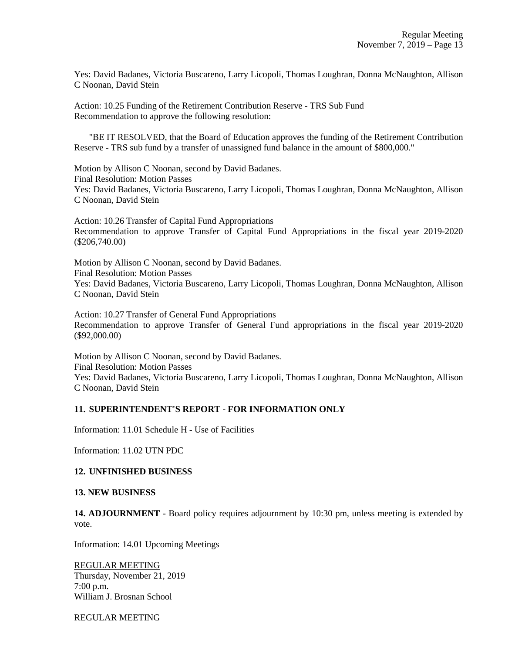Yes: David Badanes, Victoria Buscareno, Larry Licopoli, Thomas Loughran, Donna McNaughton, Allison C Noonan, David Stein

Action: 10.25 Funding of the Retirement Contribution Reserve - TRS Sub Fund Recommendation to approve the following resolution:

 "BE IT RESOLVED, that the Board of Education approves the funding of the Retirement Contribution Reserve - TRS sub fund by a transfer of unassigned fund balance in the amount of \$800,000."

Motion by Allison C Noonan, second by David Badanes. Final Resolution: Motion Passes Yes: David Badanes, Victoria Buscareno, Larry Licopoli, Thomas Loughran, Donna McNaughton, Allison C Noonan, David Stein

Action: 10.26 Transfer of Capital Fund Appropriations Recommendation to approve Transfer of Capital Fund Appropriations in the fiscal year 2019-2020 (\$206,740.00)

Motion by Allison C Noonan, second by David Badanes. Final Resolution: Motion Passes Yes: David Badanes, Victoria Buscareno, Larry Licopoli, Thomas Loughran, Donna McNaughton, Allison C Noonan, David Stein

Action: 10.27 Transfer of General Fund Appropriations Recommendation to approve Transfer of General Fund appropriations in the fiscal year 2019-2020 (\$92,000.00)

Motion by Allison C Noonan, second by David Badanes. Final Resolution: Motion Passes Yes: David Badanes, Victoria Buscareno, Larry Licopoli, Thomas Loughran, Donna McNaughton, Allison C Noonan, David Stein

## **11. SUPERINTENDENT'S REPORT - FOR INFORMATION ONLY**

Information: 11.01 Schedule H - Use of Facilities

Information: 11.02 UTN PDC

#### **12. UNFINISHED BUSINESS**

#### **13. NEW BUSINESS**

**14. ADJOURNMENT** - Board policy requires adjournment by 10:30 pm, unless meeting is extended by vote.

Information: 14.01 Upcoming Meetings

REGULAR MEETING Thursday, November 21, 2019 7:00 p.m. William J. Brosnan School

REGULAR MEETING